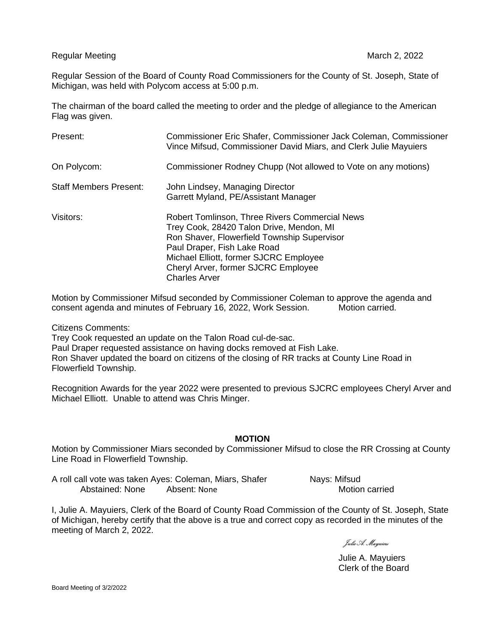Regular Meeting March 2, 2022 and the United States of the March 2, 2022 and the March 2, 2022

Regular Session of the Board of County Road Commissioners for the County of St. Joseph, State of Michigan, was held with Polycom access at 5:00 p.m.

The chairman of the board called the meeting to order and the pledge of allegiance to the American Flag was given.

| Present:                      | Commissioner Eric Shafer, Commissioner Jack Coleman, Commissioner<br>Vince Mifsud, Commissioner David Miars, and Clerk Julie Mayuiers                                                                                                                                                    |
|-------------------------------|------------------------------------------------------------------------------------------------------------------------------------------------------------------------------------------------------------------------------------------------------------------------------------------|
| On Polycom:                   | Commissioner Rodney Chupp (Not allowed to Vote on any motions)                                                                                                                                                                                                                           |
| <b>Staff Members Present:</b> | John Lindsey, Managing Director<br>Garrett Myland, PE/Assistant Manager                                                                                                                                                                                                                  |
| Visitors:                     | <b>Robert Tomlinson, Three Rivers Commercial News</b><br>Trey Cook, 28420 Talon Drive, Mendon, MI<br>Ron Shaver, Flowerfield Township Supervisor<br>Paul Draper, Fish Lake Road<br>Michael Elliott, former SJCRC Employee<br>Cheryl Arver, former SJCRC Employee<br><b>Charles Arver</b> |

Motion by Commissioner Mifsud seconded by Commissioner Coleman to approve the agenda and consent agenda and minutes of February 16, 2022, Work Session. Motion carried.

Citizens Comments:

Trey Cook requested an update on the Talon Road cul-de-sac. Paul Draper requested assistance on having docks removed at Fish Lake. Ron Shaver updated the board on citizens of the closing of RR tracks at County Line Road in Flowerfield Township.

Recognition Awards for the year 2022 were presented to previous SJCRC employees Cheryl Arver and Michael Elliott. Unable to attend was Chris Minger.

## **MOTION**

Motion by Commissioner Miars seconded by Commissioner Mifsud to close the RR Crossing at County Line Road in Flowerfield Township.

A roll call vote was taken Ayes: Coleman, Miars, Shafer Nays: Mifsud Abstained: None Absent: None **Motion Carried** 

I, Julie A. Mayuiers, Clerk of the Board of County Road Commission of the County of St. Joseph, State of Michigan, hereby certify that the above is a true and correct copy as recorded in the minutes of the meeting of March 2, 2022.

Julie A. Mayuiers

Julie A. Mayuiers Clerk of the Board

Board Meeting of 3/2/2022